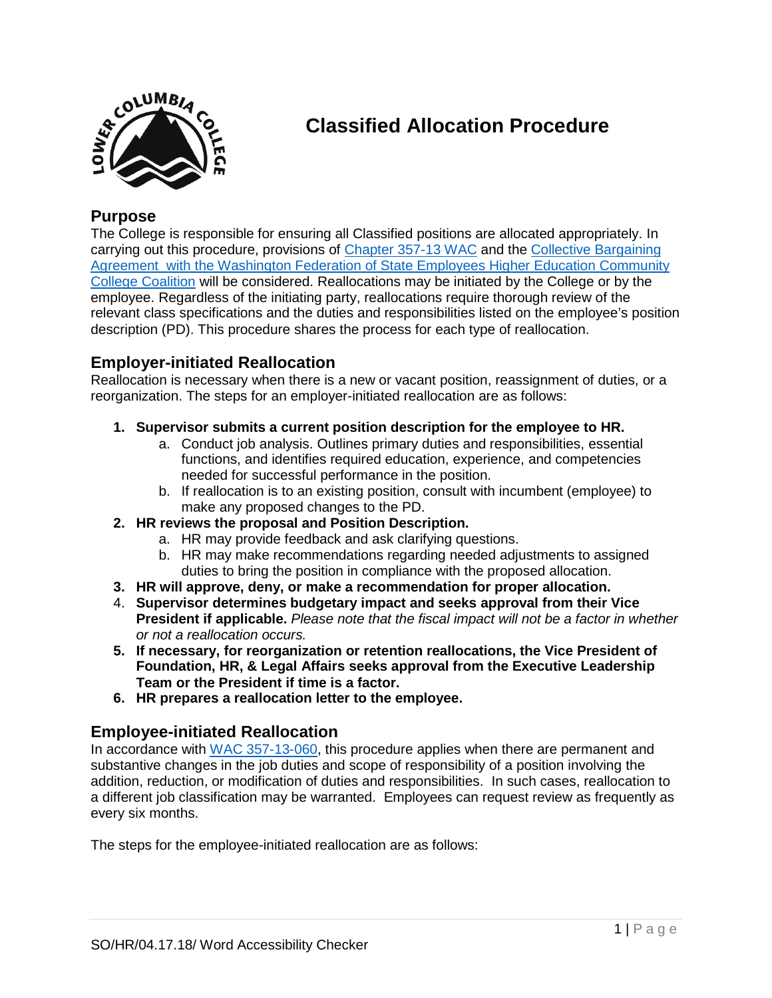

# **Classified Allocation Procedure**

# **Purpose**

The College is responsible for ensuring all Classified positions are allocated appropriately. In carrying out this procedure, provisions of [Chapter 357-13 WAC](http://apps.leg.wa.gov/wac/default.aspx?cite=357-13) and the [Collective Bargaining](http://internal.lowercolumbia.edu/departments/human-resources/_assets/documents/ClassifiedStaffContract_WFSE.pdf)  [Agreement with the Washington Federation of State Employees Higher Education Community](http://internal.lowercolumbia.edu/departments/human-resources/_assets/documents/ClassifiedStaffContract_WFSE.pdf)  [College Coalition](http://internal.lowercolumbia.edu/departments/human-resources/_assets/documents/ClassifiedStaffContract_WFSE.pdf) will be considered. Reallocations may be initiated by the College or by the employee. Regardless of the initiating party, reallocations require thorough review of the relevant class specifications and the duties and responsibilities listed on the employee's position description (PD). This procedure shares the process for each type of reallocation.

# **Employer-initiated Reallocation**

Reallocation is necessary when there is a new or vacant position, reassignment of duties, or a reorganization. The steps for an employer-initiated reallocation are as follows:

- **1. Supervisor submits a current position description for the employee to HR.**
	- a. Conduct job analysis. Outlines primary duties and responsibilities, essential functions, and identifies required education, experience, and competencies needed for successful performance in the position.
	- b. If reallocation is to an existing position, consult with incumbent (employee) to make any proposed changes to the PD.
- **2. HR reviews the proposal and Position Description.**
	- a. HR may provide feedback and ask clarifying questions.
	- b. HR may make recommendations regarding needed adjustments to assigned duties to bring the position in compliance with the proposed allocation.
- **3. HR will approve, deny, or make a recommendation for proper allocation.**
- 4. **Supervisor determines budgetary impact and seeks approval from their Vice President if applicable.** *Please note that the fiscal impact will not be a factor in whether or not a reallocation occurs.*
- **5. If necessary, for reorganization or retention reallocations, the Vice President of Foundation, HR, & Legal Affairs seeks approval from the Executive Leadership Team or the President if time is a factor.**
- **6. HR prepares a reallocation letter to the employee.**

#### **Employee-initiated Reallocation**

In accordance with [WAC 357-13-060,](http://apps.leg.wa.gov/WAC/default.aspx?cite=357-13-060) this procedure applies when there are permanent and substantive changes in the job duties and scope of responsibility of a position involving the addition, reduction, or modification of duties and responsibilities. In such cases, reallocation to a different job classification may be warranted. Employees can request review as frequently as every six months.

The steps for the employee-initiated reallocation are as follows: